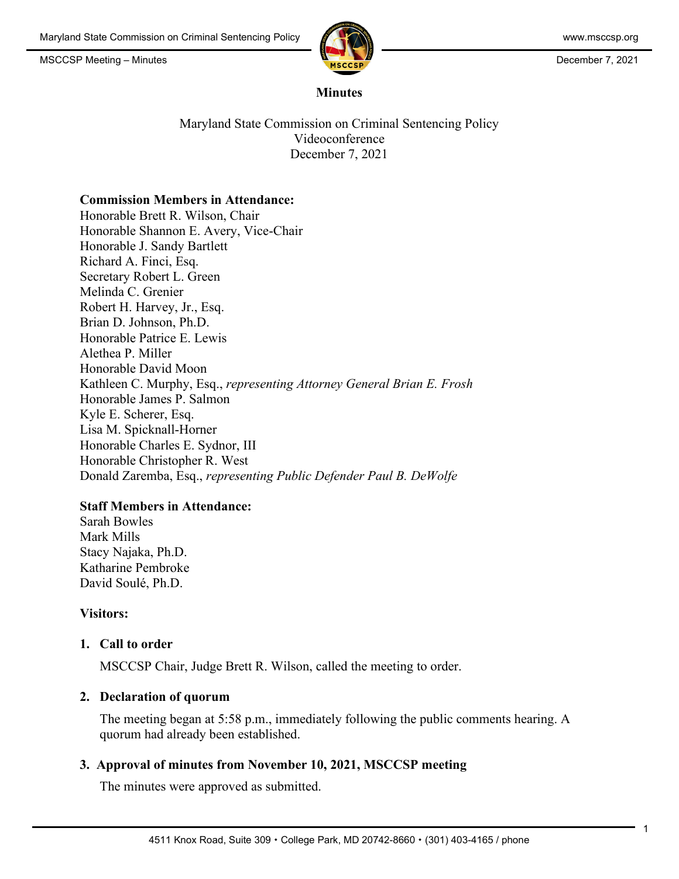

1

#### **Minutes**

Maryland State Commission on Criminal Sentencing Policy Videoconference December 7, 2021

### **Commission Members in Attendance:**

Honorable Brett R. Wilson, Chair Honorable Shannon E. Avery, Vice-Chair Honorable J. Sandy Bartlett Richard A. Finci, Esq. Secretary Robert L. Green Melinda C. Grenier Robert H. Harvey, Jr., Esq. Brian D. Johnson, Ph.D. Honorable Patrice E. Lewis Alethea P. Miller Honorable David Moon Kathleen C. Murphy, Esq., *representing Attorney General Brian E. Frosh* Honorable James P. Salmon Kyle E. Scherer, Esq. Lisa M. Spicknall-Horner Honorable Charles E. Sydnor, III Honorable Christopher R. West Donald Zaremba, Esq., *representing Public Defender Paul B. DeWolfe*

# **Staff Members in Attendance:**

Sarah Bowles Mark Mills Stacy Najaka, Ph.D. Katharine Pembroke David Soulé, Ph.D.

### **Visitors:**

### **1. Call to order**

MSCCSP Chair, Judge Brett R. Wilson, called the meeting to order.

### **2. Declaration of quorum**

The meeting began at 5:58 p.m., immediately following the public comments hearing. A quorum had already been established.

### **3. Approval of minutes from November 10, 2021, MSCCSP meeting**

The minutes were approved as submitted.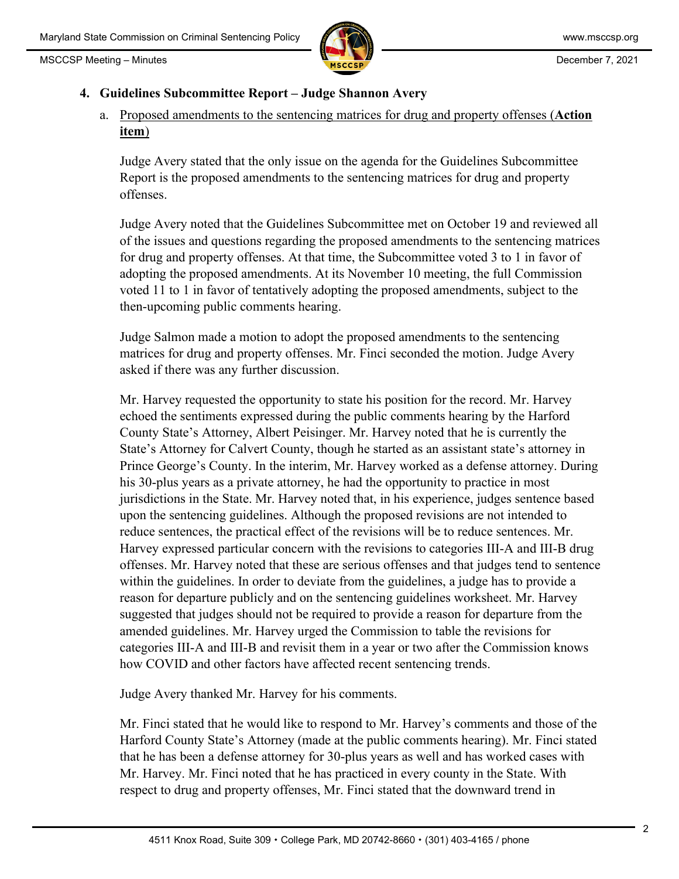

## **4. Guidelines Subcommittee Report – Judge Shannon Avery**

a. Proposed amendments to the sentencing matrices for drug and property offenses (**Action item**)

Judge Avery stated that the only issue on the agenda for the Guidelines Subcommittee Report is the proposed amendments to the sentencing matrices for drug and property offenses.

Judge Avery noted that the Guidelines Subcommittee met on October 19 and reviewed all of the issues and questions regarding the proposed amendments to the sentencing matrices for drug and property offenses. At that time, the Subcommittee voted 3 to 1 in favor of adopting the proposed amendments. At its November 10 meeting, the full Commission voted 11 to 1 in favor of tentatively adopting the proposed amendments, subject to the then-upcoming public comments hearing.

Judge Salmon made a motion to adopt the proposed amendments to the sentencing matrices for drug and property offenses. Mr. Finci seconded the motion. Judge Avery asked if there was any further discussion.

Mr. Harvey requested the opportunity to state his position for the record. Mr. Harvey echoed the sentiments expressed during the public comments hearing by the Harford County State's Attorney, Albert Peisinger. Mr. Harvey noted that he is currently the State's Attorney for Calvert County, though he started as an assistant state's attorney in Prince George's County. In the interim, Mr. Harvey worked as a defense attorney. During his 30-plus years as a private attorney, he had the opportunity to practice in most jurisdictions in the State. Mr. Harvey noted that, in his experience, judges sentence based upon the sentencing guidelines. Although the proposed revisions are not intended to reduce sentences, the practical effect of the revisions will be to reduce sentences. Mr. Harvey expressed particular concern with the revisions to categories III-A and III-B drug offenses. Mr. Harvey noted that these are serious offenses and that judges tend to sentence within the guidelines. In order to deviate from the guidelines, a judge has to provide a reason for departure publicly and on the sentencing guidelines worksheet. Mr. Harvey suggested that judges should not be required to provide a reason for departure from the amended guidelines. Mr. Harvey urged the Commission to table the revisions for categories III-A and III-B and revisit them in a year or two after the Commission knows how COVID and other factors have affected recent sentencing trends.

Judge Avery thanked Mr. Harvey for his comments.

Mr. Finci stated that he would like to respond to Mr. Harvey's comments and those of the Harford County State's Attorney (made at the public comments hearing). Mr. Finci stated that he has been a defense attorney for 30-plus years as well and has worked cases with Mr. Harvey. Mr. Finci noted that he has practiced in every county in the State. With respect to drug and property offenses, Mr. Finci stated that the downward trend in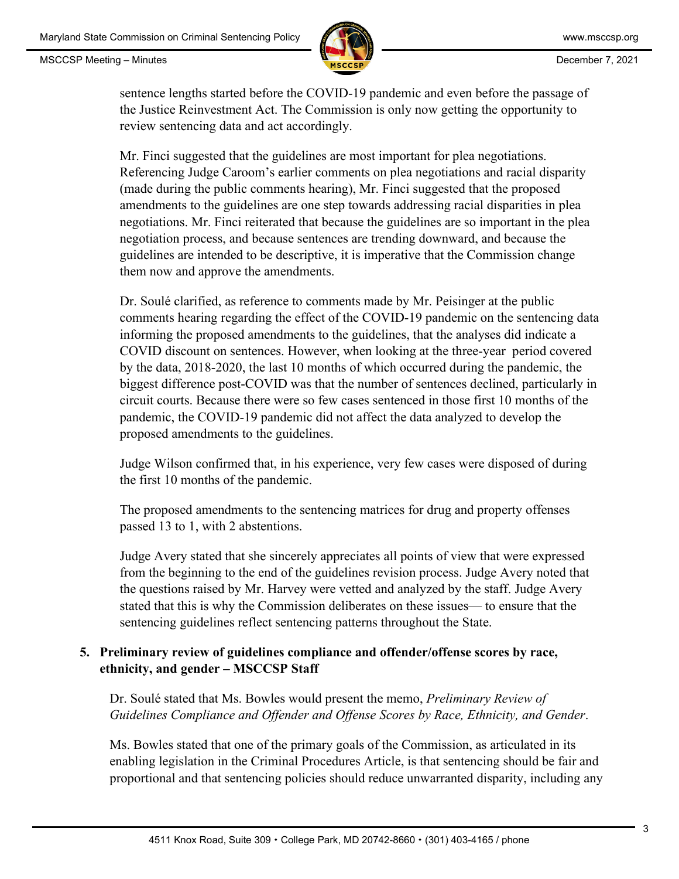

sentence lengths started before the COVID-19 pandemic and even before the passage of the Justice Reinvestment Act. The Commission is only now getting the opportunity to review sentencing data and act accordingly.

Mr. Finci suggested that the guidelines are most important for plea negotiations. Referencing Judge Caroom's earlier comments on plea negotiations and racial disparity (made during the public comments hearing), Mr. Finci suggested that the proposed amendments to the guidelines are one step towards addressing racial disparities in plea negotiations. Mr. Finci reiterated that because the guidelines are so important in the plea negotiation process, and because sentences are trending downward, and because the guidelines are intended to be descriptive, it is imperative that the Commission change them now and approve the amendments.

Dr. Soulé clarified, as reference to comments made by Mr. Peisinger at the public comments hearing regarding the effect of the COVID-19 pandemic on the sentencing data informing the proposed amendments to the guidelines, that the analyses did indicate a COVID discount on sentences. However, when looking at the three-year period covered by the data, 2018-2020, the last 10 months of which occurred during the pandemic, the biggest difference post-COVID was that the number of sentences declined, particularly in circuit courts. Because there were so few cases sentenced in those first 10 months of the pandemic, the COVID-19 pandemic did not affect the data analyzed to develop the proposed amendments to the guidelines.

Judge Wilson confirmed that, in his experience, very few cases were disposed of during the first 10 months of the pandemic.

The proposed amendments to the sentencing matrices for drug and property offenses passed 13 to 1, with 2 abstentions.

Judge Avery stated that she sincerely appreciates all points of view that were expressed from the beginning to the end of the guidelines revision process. Judge Avery noted that the questions raised by Mr. Harvey were vetted and analyzed by the staff. Judge Avery stated that this is why the Commission deliberates on these issues— to ensure that the sentencing guidelines reflect sentencing patterns throughout the State.

# **5. Preliminary review of guidelines compliance and offender/offense scores by race, ethnicity, and gender – MSCCSP Staff**

Dr. Soulé stated that Ms. Bowles would present the memo, *Preliminary Review of Guidelines Compliance and Offender and Offense Scores by Race, Ethnicity, and Gender*.

Ms. Bowles stated that one of the primary goals of the Commission, as articulated in its enabling legislation in the Criminal Procedures Article, is that sentencing should be fair and proportional and that sentencing policies should reduce unwarranted disparity, including any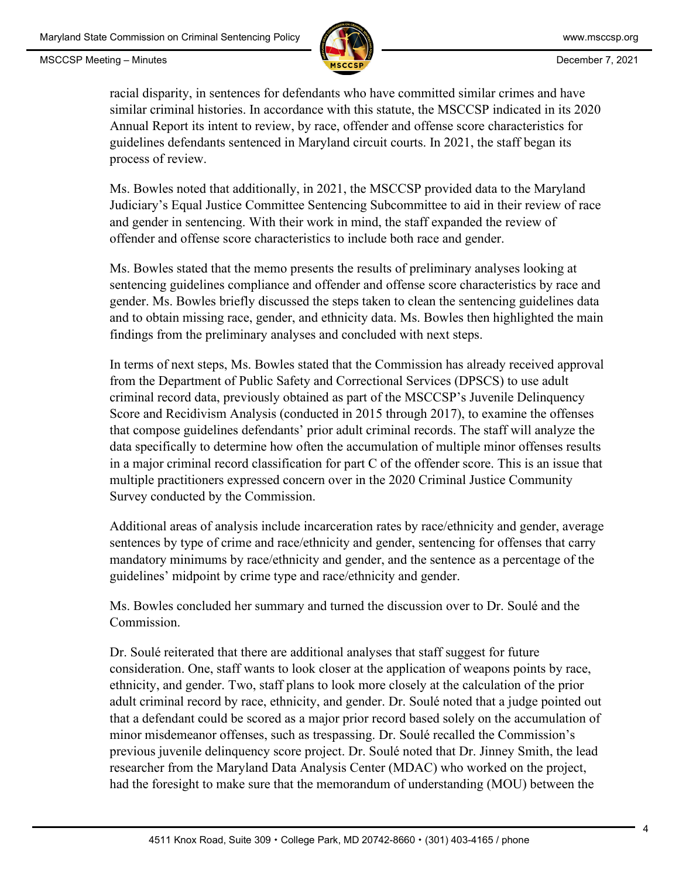

racial disparity, in sentences for defendants who have committed similar crimes and have similar criminal histories. In accordance with this statute, the MSCCSP indicated in its 2020 Annual Report its intent to review, by race, offender and offense score characteristics for guidelines defendants sentenced in Maryland circuit courts. In 2021, the staff began its process of review.

Ms. Bowles noted that additionally, in 2021, the MSCCSP provided data to the Maryland Judiciary's Equal Justice Committee Sentencing Subcommittee to aid in their review of race and gender in sentencing. With their work in mind, the staff expanded the review of offender and offense score characteristics to include both race and gender.

Ms. Bowles stated that the memo presents the results of preliminary analyses looking at sentencing guidelines compliance and offender and offense score characteristics by race and gender. Ms. Bowles briefly discussed the steps taken to clean the sentencing guidelines data and to obtain missing race, gender, and ethnicity data. Ms. Bowles then highlighted the main findings from the preliminary analyses and concluded with next steps.

In terms of next steps, Ms. Bowles stated that the Commission has already received approval from the Department of Public Safety and Correctional Services (DPSCS) to use adult criminal record data, previously obtained as part of the MSCCSP's Juvenile Delinquency Score and Recidivism Analysis (conducted in 2015 through 2017), to examine the offenses that compose guidelines defendants' prior adult criminal records. The staff will analyze the data specifically to determine how often the accumulation of multiple minor offenses results in a major criminal record classification for part C of the offender score. This is an issue that multiple practitioners expressed concern over in the 2020 Criminal Justice Community Survey conducted by the Commission.

Additional areas of analysis include incarceration rates by race/ethnicity and gender, average sentences by type of crime and race/ethnicity and gender, sentencing for offenses that carry mandatory minimums by race/ethnicity and gender, and the sentence as a percentage of the guidelines' midpoint by crime type and race/ethnicity and gender.

Ms. Bowles concluded her summary and turned the discussion over to Dr. Soulé and the Commission.

Dr. Soulé reiterated that there are additional analyses that staff suggest for future consideration. One, staff wants to look closer at the application of weapons points by race, ethnicity, and gender. Two, staff plans to look more closely at the calculation of the prior adult criminal record by race, ethnicity, and gender. Dr. Soulé noted that a judge pointed out that a defendant could be scored as a major prior record based solely on the accumulation of minor misdemeanor offenses, such as trespassing. Dr. Soulé recalled the Commission's previous juvenile delinquency score project. Dr. Soulé noted that Dr. Jinney Smith, the lead researcher from the Maryland Data Analysis Center (MDAC) who worked on the project, had the foresight to make sure that the memorandum of understanding (MOU) between the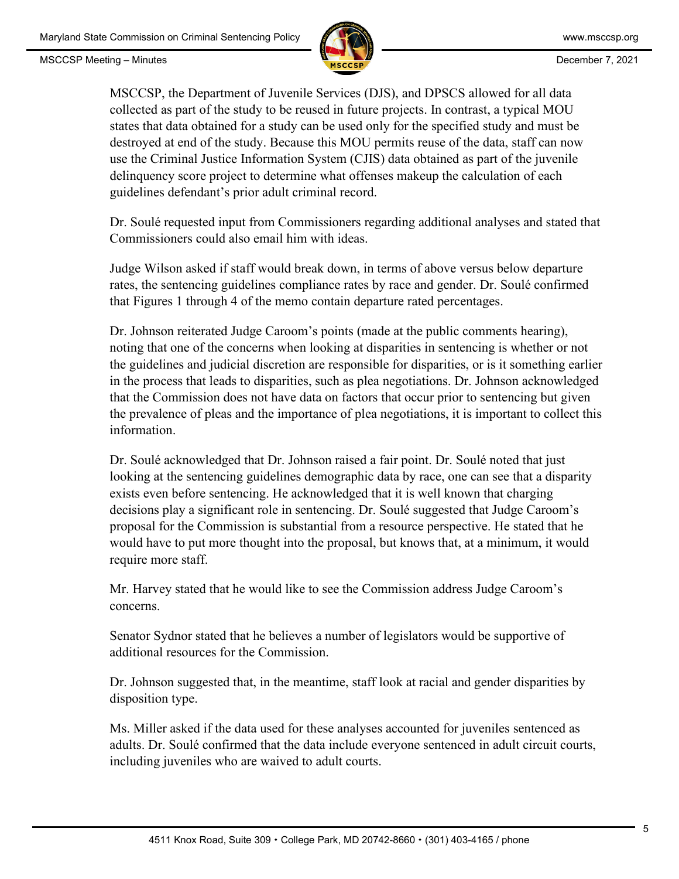

MSCCSP, the Department of Juvenile Services (DJS), and DPSCS allowed for all data collected as part of the study to be reused in future projects. In contrast, a typical MOU states that data obtained for a study can be used only for the specified study and must be destroyed at end of the study. Because this MOU permits reuse of the data, staff can now use the Criminal Justice Information System (CJIS) data obtained as part of the juvenile delinquency score project to determine what offenses makeup the calculation of each guidelines defendant's prior adult criminal record.

Dr. Soulé requested input from Commissioners regarding additional analyses and stated that Commissioners could also email him with ideas.

Judge Wilson asked if staff would break down, in terms of above versus below departure rates, the sentencing guidelines compliance rates by race and gender. Dr. Soulé confirmed that Figures 1 through 4 of the memo contain departure rated percentages.

Dr. Johnson reiterated Judge Caroom's points (made at the public comments hearing), noting that one of the concerns when looking at disparities in sentencing is whether or not the guidelines and judicial discretion are responsible for disparities, or is it something earlier in the process that leads to disparities, such as plea negotiations. Dr. Johnson acknowledged that the Commission does not have data on factors that occur prior to sentencing but given the prevalence of pleas and the importance of plea negotiations, it is important to collect this information.

Dr. Soulé acknowledged that Dr. Johnson raised a fair point. Dr. Soulé noted that just looking at the sentencing guidelines demographic data by race, one can see that a disparity exists even before sentencing. He acknowledged that it is well known that charging decisions play a significant role in sentencing. Dr. Soulé suggested that Judge Caroom's proposal for the Commission is substantial from a resource perspective. He stated that he would have to put more thought into the proposal, but knows that, at a minimum, it would require more staff.

Mr. Harvey stated that he would like to see the Commission address Judge Caroom's concerns.

Senator Sydnor stated that he believes a number of legislators would be supportive of additional resources for the Commission.

Dr. Johnson suggested that, in the meantime, staff look at racial and gender disparities by disposition type.

Ms. Miller asked if the data used for these analyses accounted for juveniles sentenced as adults. Dr. Soulé confirmed that the data include everyone sentenced in adult circuit courts, including juveniles who are waived to adult courts.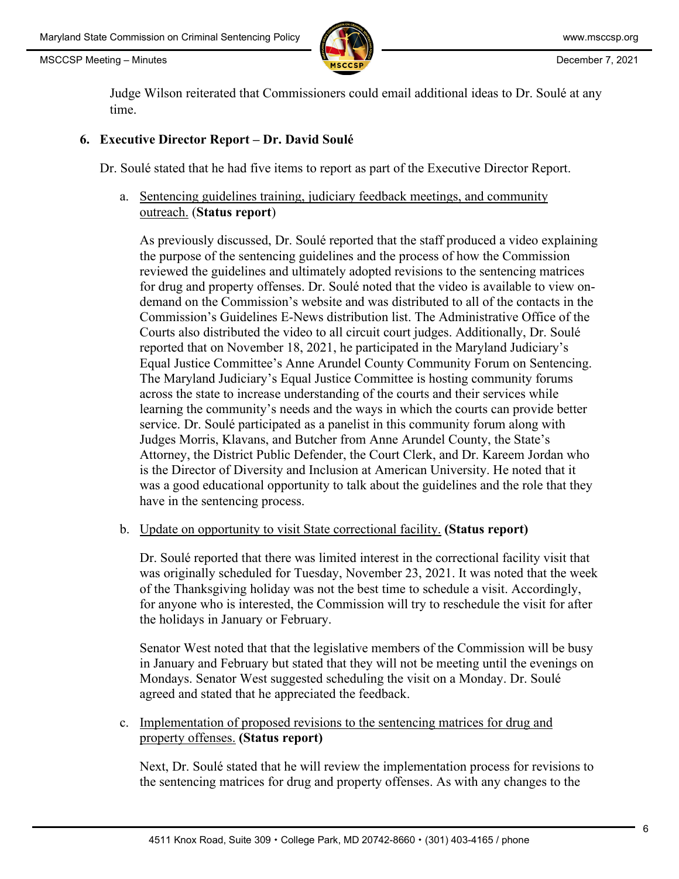

Judge Wilson reiterated that Commissioners could email additional ideas to Dr. Soulé at any time.

### **6. Executive Director Report – Dr. David Soulé**

Dr. Soulé stated that he had five items to report as part of the Executive Director Report.

a. Sentencing guidelines training, judiciary feedback meetings, and community outreach. (**Status report**)

As previously discussed, Dr. Soulé reported that the staff produced a video explaining the purpose of the sentencing guidelines and the process of how the Commission reviewed the guidelines and ultimately adopted revisions to the sentencing matrices for drug and property offenses. Dr. Soulé noted that the video is available to view ondemand on the Commission's website and was distributed to all of the contacts in the Commission's Guidelines E-News distribution list. The Administrative Office of the Courts also distributed the video to all circuit court judges. Additionally, Dr. Soulé reported that on November 18, 2021, he participated in the Maryland Judiciary's Equal Justice Committee's Anne Arundel County Community Forum on Sentencing. The Maryland Judiciary's Equal Justice Committee is hosting community forums across the state to increase understanding of the courts and their services while learning the community's needs and the ways in which the courts can provide better service. Dr. Soulé participated as a panelist in this community forum along with Judges Morris, Klavans, and Butcher from Anne Arundel County, the State's Attorney, the District Public Defender, the Court Clerk, and Dr. Kareem Jordan who is the Director of Diversity and Inclusion at American University. He noted that it was a good educational opportunity to talk about the guidelines and the role that they have in the sentencing process.

#### b. Update on opportunity to visit State correctional facility. **(Status report)**

Dr. Soulé reported that there was limited interest in the correctional facility visit that was originally scheduled for Tuesday, November 23, 2021. It was noted that the week of the Thanksgiving holiday was not the best time to schedule a visit. Accordingly, for anyone who is interested, the Commission will try to reschedule the visit for after the holidays in January or February.

Senator West noted that that the legislative members of the Commission will be busy in January and February but stated that they will not be meeting until the evenings on Mondays. Senator West suggested scheduling the visit on a Monday. Dr. Soulé agreed and stated that he appreciated the feedback.

c. Implementation of proposed revisions to the sentencing matrices for drug and property offenses. **(Status report)**

Next, Dr. Soulé stated that he will review the implementation process for revisions to the sentencing matrices for drug and property offenses. As with any changes to the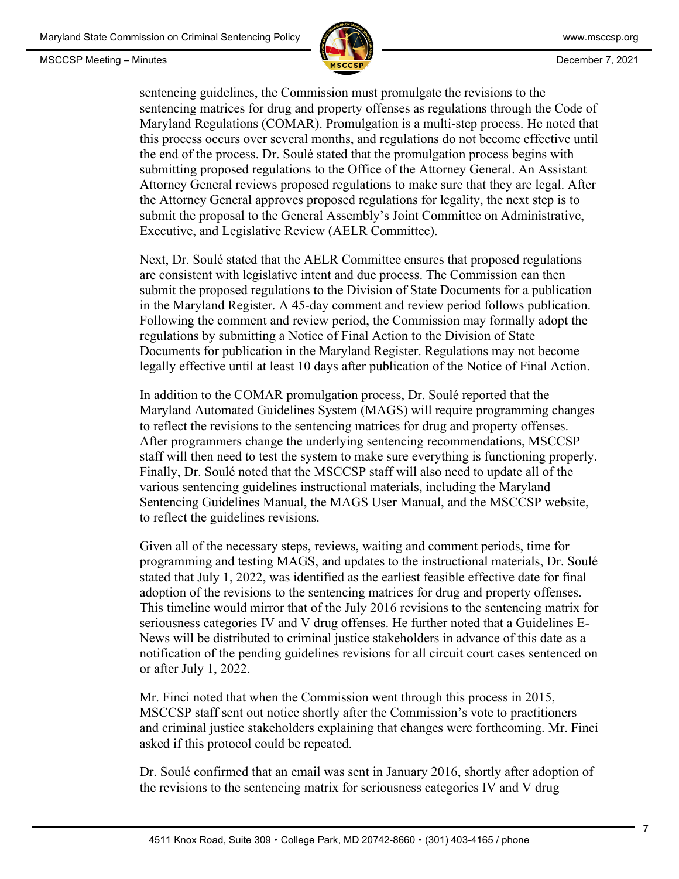

sentencing guidelines, the Commission must promulgate the revisions to the sentencing matrices for drug and property offenses as regulations through the Code of Maryland Regulations (COMAR). Promulgation is a multi-step process. He noted that this process occurs over several months, and regulations do not become effective until the end of the process. Dr. Soulé stated that the promulgation process begins with submitting proposed regulations to the Office of the Attorney General. An Assistant Attorney General reviews proposed regulations to make sure that they are legal. After the Attorney General approves proposed regulations for legality, the next step is to submit the proposal to the General Assembly's Joint Committee on Administrative, Executive, and Legislative Review (AELR Committee).

Next, Dr. Soulé stated that the AELR Committee ensures that proposed regulations are consistent with legislative intent and due process. The Commission can then submit the proposed regulations to the Division of State Documents for a publication in the Maryland Register. A 45-day comment and review period follows publication. Following the comment and review period, the Commission may formally adopt the regulations by submitting a Notice of Final Action to the Division of State Documents for publication in the Maryland Register. Regulations may not become legally effective until at least 10 days after publication of the Notice of Final Action.

In addition to the COMAR promulgation process, Dr. Soulé reported that the Maryland Automated Guidelines System (MAGS) will require programming changes to reflect the revisions to the sentencing matrices for drug and property offenses. After programmers change the underlying sentencing recommendations, MSCCSP staff will then need to test the system to make sure everything is functioning properly. Finally, Dr. Soulé noted that the MSCCSP staff will also need to update all of the various sentencing guidelines instructional materials, including the Maryland Sentencing Guidelines Manual, the MAGS User Manual, and the MSCCSP website, to reflect the guidelines revisions.

Given all of the necessary steps, reviews, waiting and comment periods, time for programming and testing MAGS, and updates to the instructional materials, Dr. Soulé stated that July 1, 2022, was identified as the earliest feasible effective date for final adoption of the revisions to the sentencing matrices for drug and property offenses. This timeline would mirror that of the July 2016 revisions to the sentencing matrix for seriousness categories IV and V drug offenses. He further noted that a Guidelines E-News will be distributed to criminal justice stakeholders in advance of this date as a notification of the pending guidelines revisions for all circuit court cases sentenced on or after July 1, 2022.

Mr. Finci noted that when the Commission went through this process in 2015, MSCCSP staff sent out notice shortly after the Commission's vote to practitioners and criminal justice stakeholders explaining that changes were forthcoming. Mr. Finci asked if this protocol could be repeated.

Dr. Soulé confirmed that an email was sent in January 2016, shortly after adoption of the revisions to the sentencing matrix for seriousness categories IV and V drug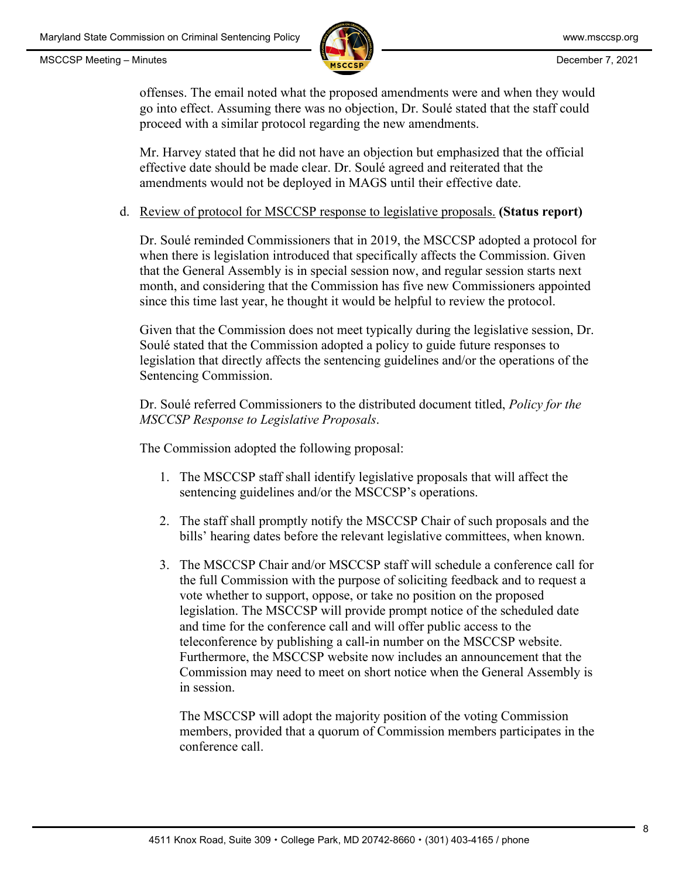

offenses. The email noted what the proposed amendments were and when they would go into effect. Assuming there was no objection, Dr. Soulé stated that the staff could proceed with a similar protocol regarding the new amendments.

Mr. Harvey stated that he did not have an objection but emphasized that the official effective date should be made clear. Dr. Soulé agreed and reiterated that the amendments would not be deployed in MAGS until their effective date.

## d. Review of protocol for MSCCSP response to legislative proposals. **(Status report)**

Dr. Soulé reminded Commissioners that in 2019, the MSCCSP adopted a protocol for when there is legislation introduced that specifically affects the Commission. Given that the General Assembly is in special session now, and regular session starts next month, and considering that the Commission has five new Commissioners appointed since this time last year, he thought it would be helpful to review the protocol.

Given that the Commission does not meet typically during the legislative session, Dr. Soulé stated that the Commission adopted a policy to guide future responses to legislation that directly affects the sentencing guidelines and/or the operations of the Sentencing Commission.

Dr. Soulé referred Commissioners to the distributed document titled, *Policy for the MSCCSP Response to Legislative Proposals*.

The Commission adopted the following proposal:

- 1. The MSCCSP staff shall identify legislative proposals that will affect the sentencing guidelines and/or the MSCCSP's operations.
- 2. The staff shall promptly notify the MSCCSP Chair of such proposals and the bills' hearing dates before the relevant legislative committees, when known.
- 3. The MSCCSP Chair and/or MSCCSP staff will schedule a conference call for the full Commission with the purpose of soliciting feedback and to request a vote whether to support, oppose, or take no position on the proposed legislation. The MSCCSP will provide prompt notice of the scheduled date and time for the conference call and will offer public access to the teleconference by publishing a call-in number on the MSCCSP website. Furthermore, the MSCCSP website now includes an announcement that the Commission may need to meet on short notice when the General Assembly is in session.

The MSCCSP will adopt the majority position of the voting Commission members, provided that a quorum of Commission members participates in the conference call.